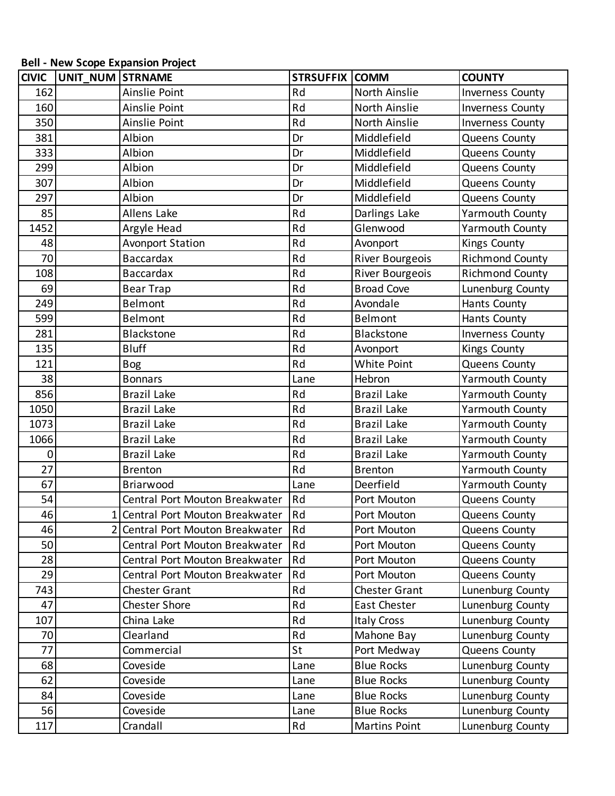## **Bell - New Scope Expansion Project**

| <b>CIVIC</b> | UNIT_NUM STRNAME |                                  | <b>STRSUFFIX COMM</b> |                        | <b>COUNTY</b>           |
|--------------|------------------|----------------------------------|-----------------------|------------------------|-------------------------|
| 162          |                  | Ainslie Point                    | Rd                    | North Ainslie          | <b>Inverness County</b> |
| 160          |                  | Ainslie Point                    | Rd                    | North Ainslie          | <b>Inverness County</b> |
| 350          |                  | Ainslie Point                    | Rd                    | North Ainslie          | <b>Inverness County</b> |
| 381          |                  | Albion                           | Dr                    | Middlefield            | Queens County           |
| 333          |                  | Albion                           | Dr                    | Middlefield            | Queens County           |
| 299          |                  | Albion                           | Dr                    | Middlefield            | Queens County           |
| 307          |                  | Albion                           | Dr                    | Middlefield            | Queens County           |
| 297          |                  | Albion                           | Dr                    | Middlefield            | Queens County           |
| 85           |                  | <b>Allens Lake</b>               | Rd                    | Darlings Lake          | <b>Yarmouth County</b>  |
| 1452         |                  | Argyle Head                      | Rd                    | Glenwood               | <b>Yarmouth County</b>  |
| 48           |                  | <b>Avonport Station</b>          | Rd                    | Avonport               | Kings County            |
| 70           |                  | <b>Baccardax</b>                 | Rd                    | River Bourgeois        | <b>Richmond County</b>  |
| 108          |                  | <b>Baccardax</b>                 | Rd                    | <b>River Bourgeois</b> | <b>Richmond County</b>  |
| 69           |                  | <b>Bear Trap</b>                 | Rd                    | <b>Broad Cove</b>      | Lunenburg County        |
| 249          |                  | Belmont                          | Rd                    | Avondale               | <b>Hants County</b>     |
| 599          |                  | <b>Belmont</b>                   | Rd                    | Belmont                | Hants County            |
| 281          |                  | <b>Blackstone</b>                | Rd                    | Blackstone             | <b>Inverness County</b> |
| 135          |                  | <b>Bluff</b>                     | Rd                    | Avonport               | <b>Kings County</b>     |
| 121          |                  | <b>Bog</b>                       | Rd                    | White Point            | Queens County           |
| 38           |                  | <b>Bonnars</b>                   | Lane                  | Hebron                 | Yarmouth County         |
| 856          |                  | <b>Brazil Lake</b>               | Rd                    | <b>Brazil Lake</b>     | <b>Yarmouth County</b>  |
| 1050         |                  | <b>Brazil Lake</b>               | Rd                    | <b>Brazil Lake</b>     | <b>Yarmouth County</b>  |
| 1073         |                  | <b>Brazil Lake</b>               | Rd                    | <b>Brazil Lake</b>     | <b>Yarmouth County</b>  |
| 1066         |                  | <b>Brazil Lake</b>               | Rd                    | <b>Brazil Lake</b>     | <b>Yarmouth County</b>  |
| 0            |                  | <b>Brazil Lake</b>               | Rd                    | <b>Brazil Lake</b>     | <b>Yarmouth County</b>  |
| 27           |                  | <b>Brenton</b>                   | Rd                    | <b>Brenton</b>         | <b>Yarmouth County</b>  |
| 67           |                  | Briarwood                        | Lane                  | Deerfield              | <b>Yarmouth County</b>  |
| 54           |                  | Central Port Mouton Breakwater   | Rd                    | Port Mouton            | Queens County           |
| 46           |                  | 1 Central Port Mouton Breakwater | Rd                    | Port Mouton            | Queens County           |
| 46           |                  | 2 Central Port Mouton Breakwater | Rd                    | Port Mouton            | Queens County           |
| 50           |                  | Central Port Mouton Breakwater   | Rd                    | Port Mouton            | Queens County           |
| 28           |                  | Central Port Mouton Breakwater   | Rd                    | Port Mouton            | Queens County           |
| 29           |                  | Central Port Mouton Breakwater   | Rd                    | Port Mouton            | Queens County           |
| 743          |                  | <b>Chester Grant</b>             | Rd                    | <b>Chester Grant</b>   | Lunenburg County        |
| 47           |                  | Chester Shore                    | Rd                    | East Chester           | Lunenburg County        |
| 107          |                  | China Lake                       | Rd                    | <b>Italy Cross</b>     | Lunenburg County        |
| 70           |                  | Clearland                        | Rd                    | Mahone Bay             | Lunenburg County        |
| 77           |                  | Commercial                       | St                    | Port Medway            | Queens County           |
| 68           |                  | Coveside                         | Lane                  | <b>Blue Rocks</b>      | Lunenburg County        |
| 62           |                  | Coveside                         | Lane                  | <b>Blue Rocks</b>      | Lunenburg County        |
| 84           |                  | Coveside                         | Lane                  | <b>Blue Rocks</b>      | Lunenburg County        |
| 56           |                  | Coveside                         | Lane                  | <b>Blue Rocks</b>      | Lunenburg County        |
| 117          |                  | Crandall                         | Rd                    | <b>Martins Point</b>   | Lunenburg County        |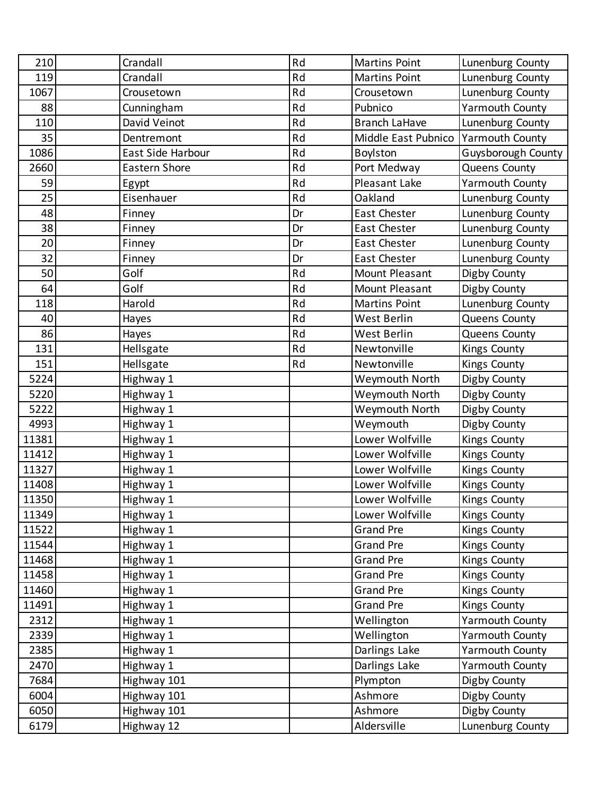| 210   | Crandall             | Rd | <b>Martins Point</b> | Lunenburg County       |
|-------|----------------------|----|----------------------|------------------------|
| 119   | Crandall             | Rd | <b>Martins Point</b> | Lunenburg County       |
| 1067  | Crousetown           | Rd | Crousetown           | Lunenburg County       |
| 88    | Cunningham           | Rd | Pubnico              | <b>Yarmouth County</b> |
| 110   | David Veinot         | Rd | <b>Branch LaHave</b> | Lunenburg County       |
| 35    | Dentremont           | Rd | Middle East Pubnico  | Yarmouth County        |
| 1086  | East Side Harbour    | Rd | Boylston             | Guysborough County     |
| 2660  | <b>Eastern Shore</b> | Rd | Port Medway          | Queens County          |
| 59    | Egypt                | Rd | Pleasant Lake        | <b>Yarmouth County</b> |
| 25    | Eisenhauer           | Rd | Oakland              | Lunenburg County       |
| 48    | Finney               | Dr | East Chester         | Lunenburg County       |
| 38    | Finney               | Dr | East Chester         | Lunenburg County       |
| 20    | Finney               | Dr | East Chester         | Lunenburg County       |
| 32    | Finney               | Dr | East Chester         | Lunenburg County       |
| 50    | Golf                 | Rd | Mount Pleasant       | Digby County           |
| 64    | Golf                 | Rd | Mount Pleasant       | Digby County           |
| 118   | Harold               | Rd | <b>Martins Point</b> | Lunenburg County       |
| 40    | Hayes                | Rd | West Berlin          | Queens County          |
| 86    | Hayes                | Rd | West Berlin          | Queens County          |
| 131   | Hellsgate            | Rd | Newtonville          | <b>Kings County</b>    |
| 151   | Hellsgate            | Rd | Newtonville          | <b>Kings County</b>    |
| 5224  | Highway 1            |    | Weymouth North       | Digby County           |
| 5220  | Highway 1            |    | Weymouth North       | Digby County           |
| 5222  | Highway 1            |    | Weymouth North       | Digby County           |
| 4993  | Highway 1            |    | Weymouth             | Digby County           |
| 11381 | Highway 1            |    | Lower Wolfville      | <b>Kings County</b>    |
| 11412 | Highway 1            |    | Lower Wolfville      | <b>Kings County</b>    |
| 11327 | Highway 1            |    | Lower Wolfville      | <b>Kings County</b>    |
| 11408 | Highway 1            |    | Lower Wolfville      | <b>Kings County</b>    |
| 11350 | Highway 1            |    | Lower Wolfville      | <b>Kings County</b>    |
| 11349 | Highway 1            |    | Lower Wolfville      | <b>Kings County</b>    |
| 11522 | Highway 1            |    | <b>Grand Pre</b>     | <b>Kings County</b>    |
| 11544 | Highway 1            |    | <b>Grand Pre</b>     | <b>Kings County</b>    |
| 11468 | Highway 1            |    | <b>Grand Pre</b>     | <b>Kings County</b>    |
| 11458 | Highway 1            |    | <b>Grand Pre</b>     | <b>Kings County</b>    |
| 11460 | Highway 1            |    | <b>Grand Pre</b>     | <b>Kings County</b>    |
| 11491 | Highway 1            |    | <b>Grand Pre</b>     | <b>Kings County</b>    |
| 2312  | Highway 1            |    | Wellington           | <b>Yarmouth County</b> |
| 2339  | Highway 1            |    | Wellington           | <b>Yarmouth County</b> |
| 2385  | Highway 1            |    | Darlings Lake        | <b>Yarmouth County</b> |
| 2470  | Highway 1            |    | Darlings Lake        | Yarmouth County        |
| 7684  | Highway 101          |    | Plympton             | Digby County           |
| 6004  | Highway 101          |    | Ashmore              | Digby County           |
| 6050  | Highway 101          |    | Ashmore              | Digby County           |
| 6179  | Highway 12           |    | Aldersville          | Lunenburg County       |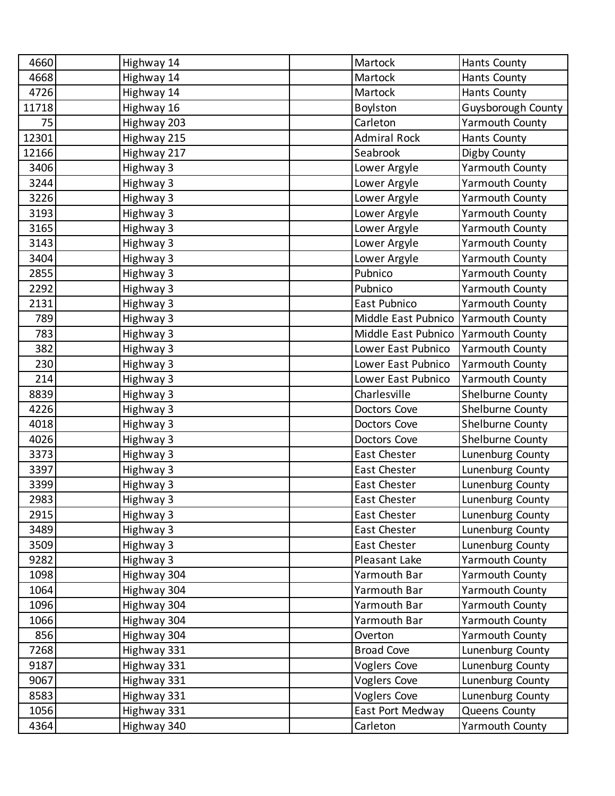| 4660  | Highway 14  | Martock             | <b>Hants County</b>    |
|-------|-------------|---------------------|------------------------|
| 4668  | Highway 14  | Martock             | <b>Hants County</b>    |
| 4726  | Highway 14  | Martock             | <b>Hants County</b>    |
| 11718 | Highway 16  | Boylston            | Guysborough County     |
| 75    | Highway 203 | Carleton            | <b>Yarmouth County</b> |
| 12301 | Highway 215 | <b>Admiral Rock</b> | <b>Hants County</b>    |
| 12166 | Highway 217 | Seabrook            | Digby County           |
| 3406  | Highway 3   | Lower Argyle        | <b>Yarmouth County</b> |
| 3244  | Highway 3   | Lower Argyle        | <b>Yarmouth County</b> |
| 3226  | Highway 3   | Lower Argyle        | <b>Yarmouth County</b> |
| 3193  | Highway 3   | Lower Argyle        | <b>Yarmouth County</b> |
| 3165  | Highway 3   | Lower Argyle        | <b>Yarmouth County</b> |
| 3143  | Highway 3   | Lower Argyle        | <b>Yarmouth County</b> |
| 3404  | Highway 3   | Lower Argyle        | <b>Yarmouth County</b> |
| 2855  | Highway 3   | Pubnico             | <b>Yarmouth County</b> |
| 2292  | Highway 3   | Pubnico             | <b>Yarmouth County</b> |
| 2131  | Highway 3   | East Pubnico        | <b>Yarmouth County</b> |
| 789   | Highway 3   | Middle East Pubnico | Yarmouth County        |
| 783   | Highway 3   | Middle East Pubnico | <b>Yarmouth County</b> |
| 382   | Highway 3   | Lower East Pubnico  | Yarmouth County        |
| 230   | Highway 3   | Lower East Pubnico  | <b>Yarmouth County</b> |
| 214   | Highway 3   | Lower East Pubnico  | Yarmouth County        |
| 8839  | Highway 3   | Charlesville        | Shelburne County       |
| 4226  | Highway 3   | Doctors Cove        | Shelburne County       |
| 4018  | Highway 3   | Doctors Cove        | Shelburne County       |
| 4026  | Highway 3   | Doctors Cove        | Shelburne County       |
| 3373  | Highway 3   | East Chester        | Lunenburg County       |
| 3397  | Highway 3   | East Chester        | Lunenburg County       |
| 3399  | Highway 3   | East Chester        | Lunenburg County       |
| 2983  | Highway 3   | East Chester        | Lunenburg County       |
| 2915  | Highway 3   | East Chester        | Lunenburg County       |
| 3489  | Highway 3   | East Chester        | Lunenburg County       |
| 3509  | Highway 3   | East Chester        | Lunenburg County       |
| 9282  | Highway 3   | Pleasant Lake       | Yarmouth County        |
| 1098  | Highway 304 | Yarmouth Bar        | <b>Yarmouth County</b> |
| 1064  | Highway 304 | Yarmouth Bar        | Yarmouth County        |
| 1096  | Highway 304 | Yarmouth Bar        | Yarmouth County        |
| 1066  | Highway 304 | Yarmouth Bar        | Yarmouth County        |
| 856   | Highway 304 | Overton             | Yarmouth County        |
| 7268  | Highway 331 | <b>Broad Cove</b>   | Lunenburg County       |
| 9187  | Highway 331 | <b>Voglers Cove</b> | Lunenburg County       |
| 9067  | Highway 331 | <b>Voglers Cove</b> | Lunenburg County       |
| 8583  | Highway 331 | <b>Voglers Cove</b> | Lunenburg County       |
| 1056  | Highway 331 | East Port Medway    | Queens County          |
| 4364  | Highway 340 | Carleton            | Yarmouth County        |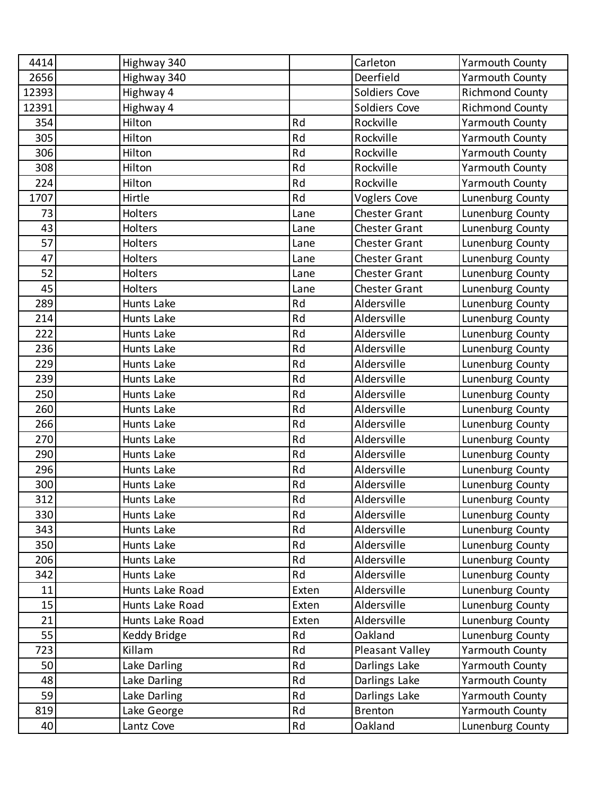| 4414  | Highway 340     |       | Carleton               | <b>Yarmouth County</b> |
|-------|-----------------|-------|------------------------|------------------------|
| 2656  | Highway 340     |       | Deerfield              | <b>Yarmouth County</b> |
| 12393 | Highway 4       |       | Soldiers Cove          | <b>Richmond County</b> |
| 12391 | Highway 4       |       | Soldiers Cove          | <b>Richmond County</b> |
| 354   | Hilton          | Rd    | Rockville              | <b>Yarmouth County</b> |
| 305   | Hilton          | Rd    | Rockville              | <b>Yarmouth County</b> |
| 306   | Hilton          | Rd    | Rockville              | <b>Yarmouth County</b> |
| 308   | Hilton          | Rd    | Rockville              | <b>Yarmouth County</b> |
| 224   | Hilton          | Rd    | Rockville              | <b>Yarmouth County</b> |
| 1707  | Hirtle          | Rd    | <b>Voglers Cove</b>    | Lunenburg County       |
| 73    | Holters         | Lane  | Chester Grant          | Lunenburg County       |
| 43    | Holters         | Lane  | <b>Chester Grant</b>   | Lunenburg County       |
| 57    | Holters         | Lane  | <b>Chester Grant</b>   | Lunenburg County       |
| 47    | Holters         | Lane  | <b>Chester Grant</b>   | Lunenburg County       |
| 52    | Holters         | Lane  | <b>Chester Grant</b>   | Lunenburg County       |
| 45    | Holters         | Lane  | <b>Chester Grant</b>   | Lunenburg County       |
| 289   | Hunts Lake      | Rd    | Aldersville            | Lunenburg County       |
| 214   | Hunts Lake      | Rd    | Aldersville            | Lunenburg County       |
| 222   | Hunts Lake      | Rd    | Aldersville            | Lunenburg County       |
| 236   | Hunts Lake      | Rd    | Aldersville            | Lunenburg County       |
| 229   | Hunts Lake      | Rd    | Aldersville            | Lunenburg County       |
| 239   | Hunts Lake      | Rd    | Aldersville            | Lunenburg County       |
| 250   | Hunts Lake      | Rd    | Aldersville            | Lunenburg County       |
| 260   | Hunts Lake      | Rd    | Aldersville            | Lunenburg County       |
| 266   | Hunts Lake      | Rd    | Aldersville            | Lunenburg County       |
| 270   | Hunts Lake      | Rd    | Aldersville            | Lunenburg County       |
| 290   | Hunts Lake      | Rd    | Aldersville            | Lunenburg County       |
| 296   | Hunts Lake      | Rd    | Aldersville            | Lunenburg County       |
| 300   | Hunts Lake      | Rd    | Aldersville            | Lunenburg County       |
| 312   | Hunts Lake      | Rd    | Aldersville            | Lunenburg County       |
| 330   | Hunts Lake      | Rd    | Aldersville            | Lunenburg County       |
| 343   | Hunts Lake      | Rd    | Aldersville            | Lunenburg County       |
| 350   | Hunts Lake      | Rd    | Aldersville            | Lunenburg County       |
| 206   | Hunts Lake      | Rd    | Aldersville            | Lunenburg County       |
| 342   | Hunts Lake      | Rd    | Aldersville            | Lunenburg County       |
| 11    | Hunts Lake Road | Exten | Aldersville            | Lunenburg County       |
| 15    | Hunts Lake Road | Exten | Aldersville            | Lunenburg County       |
| 21    | Hunts Lake Road | Exten | Aldersville            | Lunenburg County       |
| 55    | Keddy Bridge    | Rd    | Oakland                | Lunenburg County       |
| 723   | Killam          | Rd    | <b>Pleasant Valley</b> | <b>Yarmouth County</b> |
| 50    | Lake Darling    | Rd    | Darlings Lake          | <b>Yarmouth County</b> |
| 48    | Lake Darling    | Rd    | Darlings Lake          | <b>Yarmouth County</b> |
| 59    | Lake Darling    | Rd    | Darlings Lake          | <b>Yarmouth County</b> |
| 819   | Lake George     | Rd    | <b>Brenton</b>         | <b>Yarmouth County</b> |
| 40    | Lantz Cove      | Rd    | Oakland                | Lunenburg County       |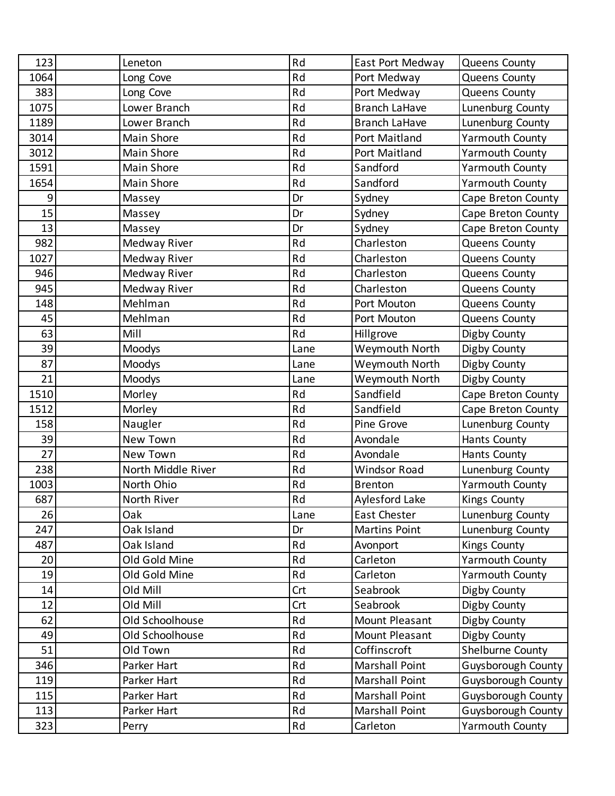| 123  | Leneton            | Rd   | East Port Medway      | Queens County             |
|------|--------------------|------|-----------------------|---------------------------|
| 1064 | Long Cove          | Rd   | Port Medway           | Queens County             |
| 383  | Long Cove          | Rd   | Port Medway           | Queens County             |
| 1075 | Lower Branch       | Rd   | <b>Branch LaHave</b>  | Lunenburg County          |
| 1189 | Lower Branch       | Rd   | <b>Branch LaHave</b>  | Lunenburg County          |
| 3014 | Main Shore         | Rd   | Port Maitland         | <b>Yarmouth County</b>    |
| 3012 | Main Shore         | Rd   | Port Maitland         | Yarmouth County           |
| 1591 | Main Shore         | Rd   | Sandford              | Yarmouth County           |
| 1654 | Main Shore         | Rd   | Sandford              | <b>Yarmouth County</b>    |
| 9    | Massey             | Dr   | Sydney                | Cape Breton County        |
| 15   | Massey             | Dr   | Sydney                | Cape Breton County        |
| 13   | Massey             | Dr   | Sydney                | Cape Breton County        |
| 982  | Medway River       | Rd   | Charleston            | Queens County             |
| 1027 | Medway River       | Rd   | Charleston            | Queens County             |
| 946  | Medway River       | Rd   | Charleston            | Queens County             |
| 945  | Medway River       | Rd   | Charleston            | Queens County             |
| 148  | Mehlman            | Rd   | Port Mouton           | Queens County             |
| 45   | Mehlman            | Rd   | Port Mouton           | Queens County             |
| 63   | Mill               | Rd   | Hillgrove             | Digby County              |
| 39   | Moodys             | Lane | Weymouth North        | Digby County              |
| 87   | Moodys             | Lane | Weymouth North        | Digby County              |
| 21   | Moodys             | Lane | Weymouth North        | Digby County              |
| 1510 | Morley             | Rd   | Sandfield             | Cape Breton County        |
| 1512 | Morley             | Rd   | Sandfield             | Cape Breton County        |
| 158  | Naugler            | Rd   | Pine Grove            | Lunenburg County          |
| 39   | New Town           | Rd   | Avondale              | <b>Hants County</b>       |
| 27   | New Town           | Rd   | Avondale              | Hants County              |
| 238  | North Middle River | Rd   | <b>Windsor Road</b>   | Lunenburg County          |
| 1003 | North Ohio         | Rd   | <b>Brenton</b>        | <b>Yarmouth County</b>    |
| 687  | North River        | Rd   | <b>Aylesford Lake</b> | <b>Kings County</b>       |
| 26   | Oak                | Lane | East Chester          | Lunenburg County          |
| 247  | Oak Island         | Dr   | <b>Martins Point</b>  | Lunenburg County          |
| 487  | Oak Island         | Rd   | Avonport              | <b>Kings County</b>       |
| 20   | Old Gold Mine      | Rd   | Carleton              | <b>Yarmouth County</b>    |
| 19   | Old Gold Mine      | Rd   | Carleton              | Yarmouth County           |
| 14   | Old Mill           | Crt  | Seabrook              | Digby County              |
| 12   | Old Mill           | Crt  | Seabrook              | Digby County              |
| 62   | Old Schoolhouse    | Rd   | Mount Pleasant        | Digby County              |
| 49   | Old Schoolhouse    | Rd   | Mount Pleasant        | Digby County              |
| 51   | Old Town           | Rd   | Coffinscroft          | Shelburne County          |
| 346  | Parker Hart        | Rd   | Marshall Point        | Guysborough County        |
| 119  | Parker Hart        | Rd   | Marshall Point        | Guysborough County        |
| 115  | Parker Hart        | Rd   | Marshall Point        | <b>Guysborough County</b> |
| 113  | Parker Hart        | Rd   | Marshall Point        | <b>Guysborough County</b> |
| 323  | Perry              | Rd   | Carleton              | Yarmouth County           |